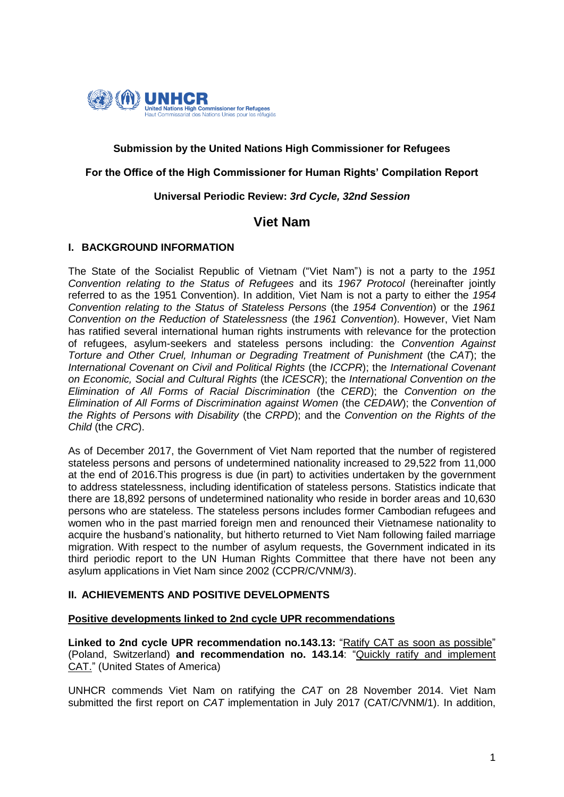

# **Submission by the United Nations High Commissioner for Refugees**

## **For the Office of the High Commissioner for Human Rights' Compilation Report**

## **Universal Periodic Review:** *3rd Cycle, 32nd Session*

# **Viet Nam**

## **I. BACKGROUND INFORMATION**

The State of the Socialist Republic of Vietnam ("Viet Nam") is not a party to the *1951 Convention relating to the Status of Refugees* and its *1967 Protocol* (hereinafter jointly referred to as the 1951 Convention). In addition, Viet Nam is not a party to either the *1954 Convention relating to the Status of Stateless Persons* (the *1954 Convention*) or the *1961 Convention on the Reduction of Statelessness* (the *1961 Convention*). However, Viet Nam has ratified several international human rights instruments with relevance for the protection of refugees, asylum-seekers and stateless persons including: the *Convention Against Torture and Other Cruel, Inhuman or Degrading Treatment of Punishment* (the *CAT*); the *International Covenant on Civil and Political Rights* (the *ICCPR*); the *International Covenant on Economic, Social and Cultural Rights* (the *ICESCR*); the *International Convention on the Elimination of All Forms of Racial Discrimination* (the *CERD*); the *Convention on the Elimination of All Forms of Discrimination against Women* (the *CEDAW*); the *Convention of the Rights of Persons with Disability* (the *CRPD*); and the *Convention on the Rights of the Child* (the *CRC*).

As of December 2017, the Government of Viet Nam reported that the number of registered stateless persons and persons of undetermined nationality increased to 29,522 from 11,000 at the end of 2016.This progress is due (in part) to activities undertaken by the government to address statelessness, including identification of stateless persons. Statistics indicate that there are 18,892 persons of undetermined nationality who reside in border areas and 10,630 persons who are stateless. The stateless persons includes former Cambodian refugees and women who in the past married foreign men and renounced their Vietnamese nationality to acquire the husband's nationality, but hitherto returned to Viet Nam following failed marriage migration. With respect to the number of asylum requests, the Government indicated in its third periodic report to the UN Human Rights Committee that there have not been any asylum applications in Viet Nam since 2002 (CCPR/C/VNM/3).

# **II. ACHIEVEMENTS AND POSITIVE DEVELOPMENTS**

#### **Positive developments linked to 2nd cycle UPR recommendations**

Linked to 2nd cycle UPR recommendation no.143.13: "Ratify CAT as soon as possible" (Poland, Switzerland) **and recommendation no. 143.14**: "Quickly ratify and implement CAT." (United States of America)

UNHCR commends Viet Nam on ratifying the *CAT* on 28 November 2014. Viet Nam submitted the first report on *CAT* implementation in July 2017 (CAT/C/VNM/1). In addition,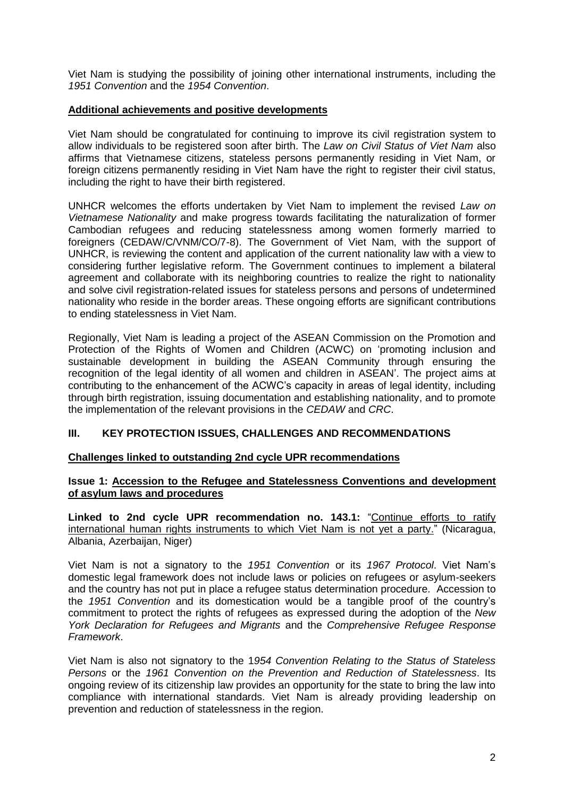Viet Nam is studying the possibility of joining other international instruments, including the *1951 Convention* and the *1954 Convention*.

# **Additional achievements and positive developments**

Viet Nam should be congratulated for continuing to improve its civil registration system to allow individuals to be registered soon after birth. The *Law on Civil Status of Viet Nam* also affirms that Vietnamese citizens, stateless persons permanently residing in Viet Nam, or foreign citizens permanently residing in Viet Nam have the right to register their civil status, including the right to have their birth registered.

UNHCR welcomes the efforts undertaken by Viet Nam to implement the revised *Law on Vietnamese Nationality* and make progress towards facilitating the naturalization of former Cambodian refugees and reducing statelessness among women formerly married to foreigners (CEDAW/C/VNM/CO/7-8). The Government of Viet Nam, with the support of UNHCR, is reviewing the content and application of the current nationality law with a view to considering further legislative reform. The Government continues to implement a bilateral agreement and collaborate with its neighboring countries to realize the right to nationality and solve civil registration-related issues for stateless persons and persons of undetermined nationality who reside in the border areas. These ongoing efforts are significant contributions to ending statelessness in Viet Nam.

Regionally, Viet Nam is leading a project of the ASEAN Commission on the Promotion and Protection of the Rights of Women and Children (ACWC) on 'promoting inclusion and sustainable development in building the ASEAN Community through ensuring the recognition of the legal identity of all women and children in ASEAN'. The project aims at contributing to the enhancement of the ACWC's capacity in areas of legal identity, including through birth registration, issuing documentation and establishing nationality, and to promote the implementation of the relevant provisions in the *CEDAW* and *CRC*.

# **III. KEY PROTECTION ISSUES, CHALLENGES AND RECOMMENDATIONS**

#### **Challenges linked to outstanding 2nd cycle UPR recommendations**

## **Issue 1: Accession to the Refugee and Statelessness Conventions and development of asylum laws and procedures**

**Linked to 2nd cycle UPR recommendation no. 143.1:** "Continue efforts to ratify international human rights instruments to which Viet Nam is not yet a party." (Nicaragua, Albania, Azerbaijan, Niger)

Viet Nam is not a signatory to the *1951 Convention* or its *1967 Protocol*. Viet Nam's domestic legal framework does not include laws or policies on refugees or asylum-seekers and the country has not put in place a refugee status determination procedure. Accession to the *1951 Convention* and its domestication would be a tangible proof of the country's commitment to protect the rights of refugees as expressed during the adoption of the *New York Declaration for Refugees and Migrants* and the *Comprehensive Refugee Response Framework*.

Viet Nam is also not signatory to the 1*954 Convention Relating to the Status of Stateless Persons* or the *1961 Convention on the Prevention and Reduction of Statelessness*. Its ongoing review of its citizenship law provides an opportunity for the state to bring the law into compliance with international standards. Viet Nam is already providing leadership on prevention and reduction of statelessness in the region.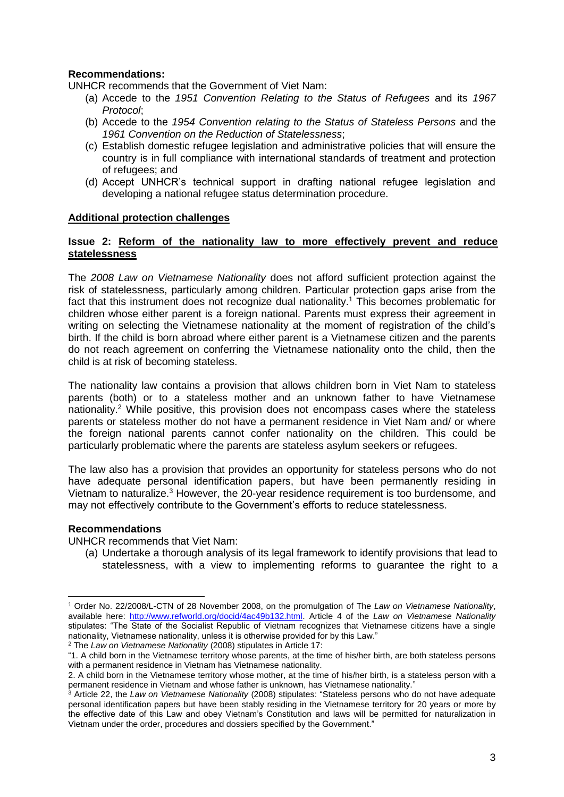# **Recommendations:**

UNHCR recommends that the Government of Viet Nam:

- (a) Accede to the *1951 Convention Relating to the Status of Refugees* and its *1967 Protocol*;
- (b) Accede to the *1954 Convention relating to the Status of Stateless Persons* and the *1961 Convention on the Reduction of Statelessness*;
- (c) Establish domestic refugee legislation and administrative policies that will ensure the country is in full compliance with international standards of treatment and protection of refugees; and
- (d) Accept UNHCR's technical support in drafting national refugee legislation and developing a national refugee status determination procedure.

## **Additional protection challenges**

## **Issue 2: Reform of the nationality law to more effectively prevent and reduce statelessness**

The *2008 Law on Vietnamese Nationality* does not afford sufficient protection against the risk of statelessness, particularly among children. Particular protection gaps arise from the fact that this instrument does not recognize dual nationality.<sup>1</sup> This becomes problematic for children whose either parent is a foreign national. Parents must express their agreement in writing on selecting the Vietnamese nationality at the moment of registration of the child's birth. If the child is born abroad where either parent is a Vietnamese citizen and the parents do not reach agreement on conferring the Vietnamese nationality onto the child, then the child is at risk of becoming stateless.

The nationality law contains a provision that allows children born in Viet Nam to stateless parents (both) or to a stateless mother and an unknown father to have Vietnamese nationality.<sup>2</sup> While positive, this provision does not encompass cases where the stateless parents or stateless mother do not have a permanent residence in Viet Nam and/ or where the foreign national parents cannot confer nationality on the children. This could be particularly problematic where the parents are stateless asylum seekers or refugees.

The law also has a provision that provides an opportunity for stateless persons who do not have adequate personal identification papers, but have been permanently residing in Vietnam to naturalize.<sup>3</sup> However, the 20-year residence requirement is too burdensome, and may not effectively contribute to the Government's efforts to reduce statelessness.

#### **Recommendations**

**.** 

UNHCR recommends that Viet Nam:

(a) Undertake a thorough analysis of its legal framework to identify provisions that lead to statelessness, with a view to implementing reforms to guarantee the right to a

<sup>1</sup> Order No. 22/2008/L-CTN of 28 November 2008, on the promulgation of The *Law on Vietnamese Nationality*, available here: [http://www.refworld.org/docid/4ac49b132.html.](http://www.refworld.org/docid/4ac49b132.html) Article 4 of the *Law on Vietnamese Nationality* stipulates: "The State of the Socialist Republic of Vietnam recognizes that Vietnamese citizens have a single nationality, Vietnamese nationality, unless it is otherwise provided for by this Law."

<sup>2</sup> The *Law on Vietnamese Nationality* (2008) stipulates in Article 17:

<sup>&</sup>quot;1. A child born in the Vietnamese territory whose parents, at the time of his/her birth, are both stateless persons with a permanent residence in Vietnam has Vietnamese nationality.

<sup>2.</sup> A child born in the Vietnamese territory whose mother, at the time of his/her birth, is a stateless person with a permanent residence in Vietnam and whose father is unknown, has Vietnamese nationality.'

<sup>3</sup> Article 22, the *Law on Vietnamese Nationality* (2008) stipulates: "Stateless persons who do not have adequate personal identification papers but have been stably residing in the Vietnamese territory for 20 years or more by the effective date of this Law and obey Vietnam's Constitution and laws will be permitted for naturalization in Vietnam under the order, procedures and dossiers specified by the Government."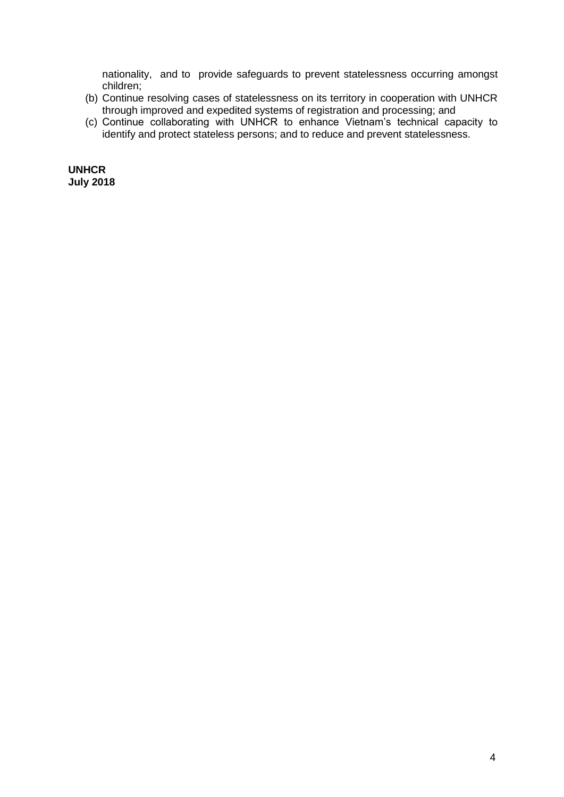nationality, and to provide safeguards to prevent statelessness occurring amongst children;

- (b) Continue resolving cases of statelessness on its territory in cooperation with UNHCR through improved and expedited systems of registration and processing; and
- (c) Continue collaborating with UNHCR to enhance Vietnam's technical capacity to identify and protect stateless persons; and to reduce and prevent statelessness.

**UNHCR July 2018**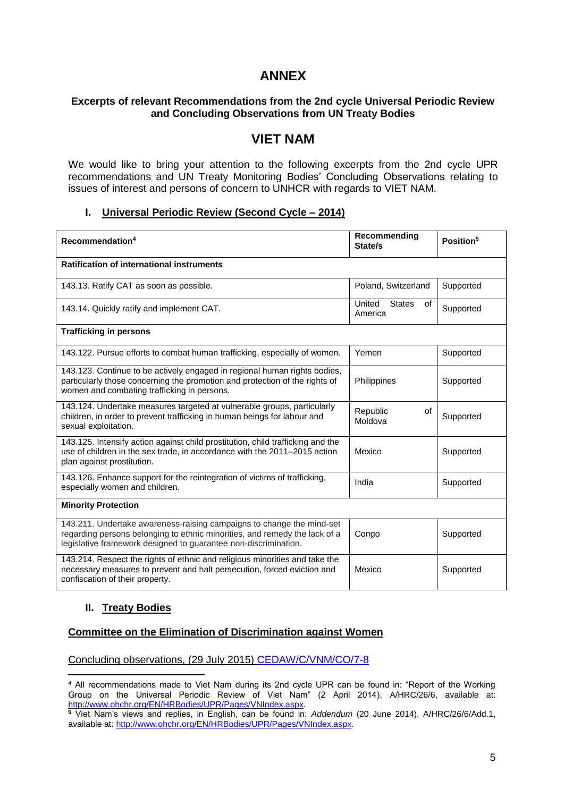# **ANNEX**

# **Excerpts of relevant Recommendations from the 2nd cycle Universal Periodic Review and Concluding Observations from UN Treaty Bodies**

# **VIET NAM**

We would like to bring your attention to the following excerpts from the 2nd cycle UPR recommendations and UN Treaty Monitoring Bodies' Concluding Observations relating to issues of interest and persons of concern to UNHCR with regards to VIET NAM.

# **I. Universal Periodic Review (Second Cycle – 2014)**

| Recommendation <sup>4</sup>                                                                                                                                                                                            | Recommending<br>State/s                  | Position <sup>5</sup> |
|------------------------------------------------------------------------------------------------------------------------------------------------------------------------------------------------------------------------|------------------------------------------|-----------------------|
| <b>Ratification of international instruments</b>                                                                                                                                                                       |                                          |                       |
| 143.13. Ratify CAT as soon as possible.                                                                                                                                                                                | Poland, Switzerland                      | Supported             |
| 143.14. Quickly ratify and implement CAT.                                                                                                                                                                              | <b>States</b><br>United<br>of<br>America | Supported             |
| <b>Trafficking in persons</b>                                                                                                                                                                                          |                                          |                       |
| 143.122. Pursue efforts to combat human trafficking, especially of women.                                                                                                                                              | Yemen                                    | Supported             |
| 143.123. Continue to be actively engaged in regional human rights bodies,<br>particularly those concerning the promotion and protection of the rights of<br>women and combating trafficking in persons.                | Philippines                              | Supported             |
| 143.124. Undertake measures targeted at vulnerable groups, particularly<br>children, in order to prevent trafficking in human beings for labour and<br>sexual exploitation.                                            | Republic<br>of<br>Moldova                | Supported             |
| 143.125. Intensify action against child prostitution, child trafficking and the<br>use of children in the sex trade, in accordance with the 2011-2015 action<br>plan against prostitution.                             | Mexico                                   | Supported             |
| 143.126. Enhance support for the reintegration of victims of trafficking,<br>especially women and children.                                                                                                            | India                                    | Supported             |
| <b>Minority Protection</b>                                                                                                                                                                                             |                                          |                       |
| 143.211. Undertake awareness-raising campaigns to change the mind-set<br>regarding persons belonging to ethnic minorities, and remedy the lack of a<br>legislative framework designed to guarantee non-discrimination. | Congo                                    | Supported             |
| 143.214. Respect the rights of ethnic and religious minorities and take the<br>necessary measures to prevent and halt persecution, forced eviction and<br>confiscation of their property.                              | Mexico                                   | Supported             |

# **II. Treaty Bodies**

# **Committee on the Elimination of Discrimination against Women**

Concluding observations, (29 July 2015) [CEDAW/C/VNM/CO/7-8](http://tbinternet.ohchr.org/_layouts/treatybodyexternal/Download.aspx?symbolno=CEDAW/C/VNM/CO/7-8&Lang=En)

**<sup>.</sup>** <sup>4</sup> All recommendations made to Viet Nam during its 2nd cycle UPR can be found in: "Report of the Working Group on the Universal Periodic Review of Viet Nam" (2 April 2014), A/HRC/26/6, available at: [http://www.ohchr.org/EN/HRBodies/UPR/Pages/VNIndex.aspx.](http://www.ohchr.org/EN/HRBodies/UPR/Pages/VNIndex.aspx)

**<sup>5</sup>** Viet Nam's views and replies, in English, can be found in: *Addendum* (20 June 2014), A/HRC/26/6/Add.1, available at: [http://www.ohchr.org/EN/HRBodies/UPR/Pages/VNIndex.aspx.](http://www.ohchr.org/EN/HRBodies/UPR/Pages/VNIndex.aspx)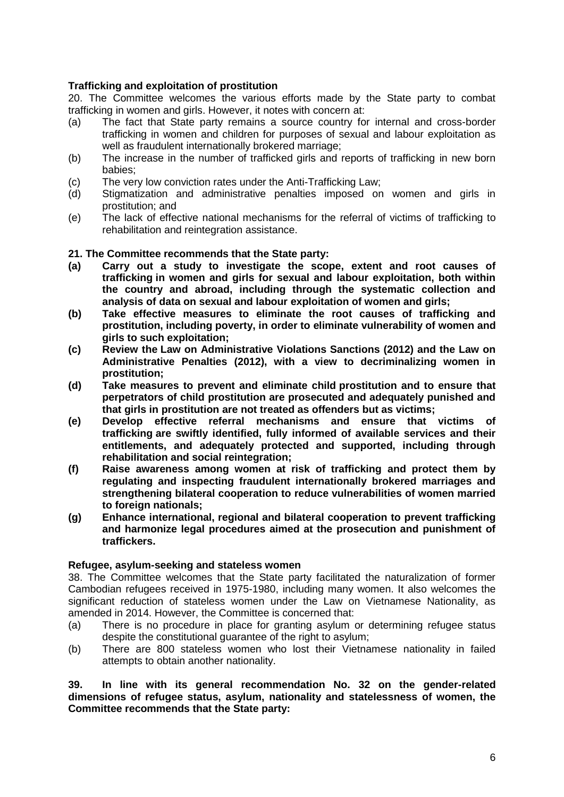# **Trafficking and exploitation of prostitution**

20. The Committee welcomes the various efforts made by the State party to combat trafficking in women and girls. However, it notes with concern at:

- (a) The fact that State party remains a source country for internal and cross-border trafficking in women and children for purposes of sexual and labour exploitation as well as fraudulent internationally brokered marriage;
- (b) The increase in the number of trafficked girls and reports of trafficking in new born babies;
- (c) The very low conviction rates under the Anti-Trafficking Law;
- (d) Stigmatization and administrative penalties imposed on women and girls in prostitution; and
- (e) The lack of effective national mechanisms for the referral of victims of trafficking to rehabilitation and reintegration assistance.

## **21. The Committee recommends that the State party:**

- **(a) Carry out a study to investigate the scope, extent and root causes of trafficking in women and girls for sexual and labour exploitation, both within the country and abroad, including through the systematic collection and analysis of data on sexual and labour exploitation of women and girls;**
- **(b) Take effective measures to eliminate the root causes of trafficking and prostitution, including poverty, in order to eliminate vulnerability of women and girls to such exploitation;**
- **(c) Review the Law on Administrative Violations Sanctions (2012) and the Law on Administrative Penalties (2012), with a view to decriminalizing women in prostitution;**
- **(d) Take measures to prevent and eliminate child prostitution and to ensure that perpetrators of child prostitution are prosecuted and adequately punished and that girls in prostitution are not treated as offenders but as victims;**
- **(e) Develop effective referral mechanisms and ensure that victims of trafficking are swiftly identified, fully informed of available services and their entitlements, and adequately protected and supported, including through rehabilitation and social reintegration;**
- **(f) Raise awareness among women at risk of trafficking and protect them by regulating and inspecting fraudulent internationally brokered marriages and strengthening bilateral cooperation to reduce vulnerabilities of women married to foreign nationals;**
- **(g) Enhance international, regional and bilateral cooperation to prevent trafficking and harmonize legal procedures aimed at the prosecution and punishment of traffickers.**

#### **Refugee, asylum-seeking and stateless women**

38. The Committee welcomes that the State party facilitated the naturalization of former Cambodian refugees received in 1975-1980, including many women. It also welcomes the significant reduction of stateless women under the Law on Vietnamese Nationality, as amended in 2014. However, the Committee is concerned that:

- (a) There is no procedure in place for granting asylum or determining refugee status despite the constitutional guarantee of the right to asylum;
- (b) There are 800 stateless women who lost their Vietnamese nationality in failed attempts to obtain another nationality.

## **39. In line with its general recommendation No. 32 on the gender-related dimensions of refugee status, asylum, nationality and statelessness of women, the Committee recommends that the State party:**